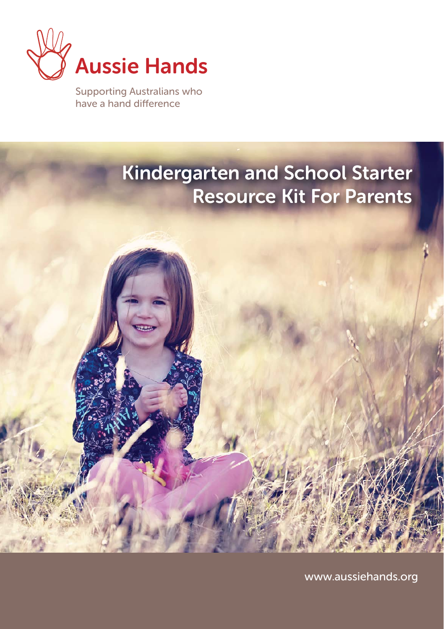

Supporting Australians who have a hand difference

# Kindergarten and School Starter Resource Kit For Parents

www.aussiehands.org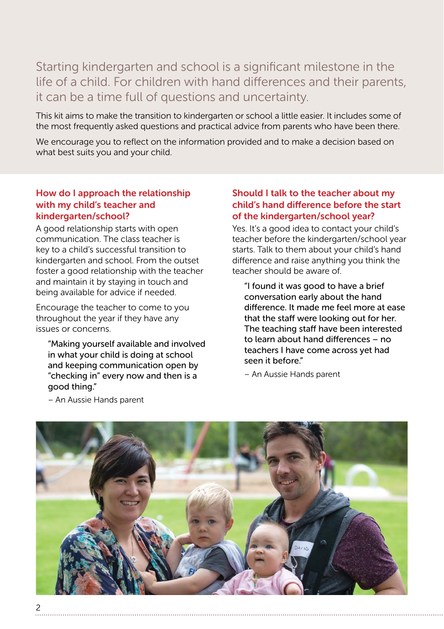Starting kindergarten and school is a significant milestone in the life of a child. For children with hand differences and their parents, it can be a time full of questions and uncertainty.

This kit aims to make the transition to kindergarten or school a little easier. It includes some of the most frequently asked questions and practical advice from parents who have been there.

We encourage you to reflect on the information provided and to make a decision based on what best suits you and your child.

# How do I approach the relationship with my child's teacher and kindergarten/school?

A good relationship starts with open communication. The class teacher is key to a child's successful transition to kindergarten and school. From the outset foster a good relationship with the teacher and maintain it by staying in touch and being available for advice if needed.

Encourage the teacher to come to you throughout the year if they have any issues or concerns.

"Making yourself available and involved in what your child is doing at school and keeping communication open by "checking in" every now and then is a good thing."

# Should I talk to the teacher about my child's hand difference before the start of the kindergarten/school year?

Yes. It's a good idea to contact your child's teacher before the kindergarten/school year starts. Talk to them about your child's hand difference and raise anything you think the teacher should be aware of.

"I found it was good to have a brief conversation early about the hand difference. It made me feel more at ease that the staff were looking out for her. The teaching staff have been interested to learn about hand differences – no teachers I have come across yet had seen it before."

– An Aussie Hands parent



– An Aussie Hands parent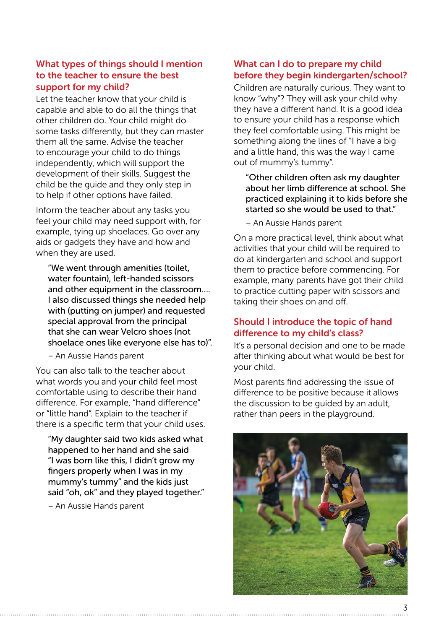# What types of things should I mention to the teacher to ensure the best support for my child?

Let the teacher know that your child is capable and able to do all the things that other children do. Your child might do some tasks differently, but they can master them all the same. Advise the teacher to encourage your child to do things independently, which will support the development of their skills. Suggest the child be the guide and they only step in to help if other options have failed.

Inform the teacher about any tasks you feel your child may need support with, for example, tying up shoelaces. Go over any aids or gadgets they have and how and when they are used.

"We went through amenities (toilet, water fountain), left-handed scissors and other equipment in the classroom.... I also discussed things she needed help with (putting on jumper) and requested special approval from the principal that she can wear Velcro shoes (not shoelace ones like everyone else has to)".

– An Aussie Hands parent

You can also talk to the teacher about what words you and your child feel most comfortable using to describe their hand difference. For example, "hand difference" or "little hand". Explain to the teacher if there is a specific term that your child uses.

"My daughter said two kids asked what happened to her hand and she said "I was born like this, I didn't grow my fingers properly when I was in my mummy's tummy" and the kids just said "oh, ok" and they played together."

– An Aussie Hands parent

#### What can I do to prepare my child before they begin kindergarten/school?

Children are naturally curious. They want to know "why"? They will ask your child why they have a different hand. It is a good idea to ensure your child has a response which they feel comfortable using. This might be something along the lines of "I have a big and a little hand, this was the way I came out of mummy's tummy".

"Other children often ask my daughter about her limb difference at school. She practiced explaining it to kids before she started so she would be used to that."

– An Aussie Hands parent

On a more practical level, think about what activities that your child will be required to do at kindergarten and school and support them to practice before commencing. For example, many parents have got their child to practice cutting paper with scissors and taking their shoes on and off.

# Should I introduce the topic of hand difference to my child's class?

It's a personal decision and one to be made after thinking about what would be best for your child.

Most parents find addressing the issue of difference to be positive because it allows the discussion to be guided by an adult, rather than peers in the playground.

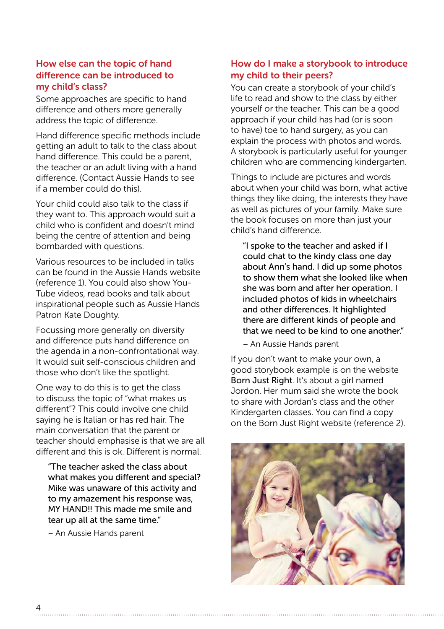#### How else can the topic of hand difference can be introduced to my child's class?

Some approaches are specific to hand difference and others more generally address the topic of difference.

Hand difference specific methods include getting an adult to talk to the class about hand difference. This could be a parent, the teacher or an adult living with a hand difference. (Contact Aussie Hands to see if a member could do this).

Your child could also talk to the class if they want to. This approach would suit a child who is confident and doesn't mind being the centre of attention and being bombarded with questions.

Various resources to be included in talks can be found in the Aussie Hands website (reference 1). You could also show You-Tube videos, read books and talk about inspirational people such as Aussie Hands Patron Kate Doughty.

Focussing more generally on diversity and difference puts hand difference on the agenda in a non-confrontational way. It would suit self-conscious children and those who don't like the spotlight.

One way to do this is to get the class to discuss the topic of "what makes us different"? This could involve one child saying he is Italian or has red hair. The main conversation that the parent or teacher should emphasise is that we are all different and this is ok. Different is normal.

"The teacher asked the class about what makes you different and special? Mike was unaware of this activity and to my amazement his response was, MY HAND!! This made me smile and tear up all at the same time."

– An Aussie Hands parent

#### How do I make a storybook to introduce my child to their peers?

You can create a storybook of your child's life to read and show to the class by either yourself or the teacher. This can be a good approach if your child has had (or is soon to have) toe to hand surgery, as you can explain the process with photos and words. A storybook is particularly useful for younger children who are commencing kindergarten.

Things to include are pictures and words about when your child was born, what active things they like doing, the interests they have as well as pictures of your family. Make sure the book focuses on more than just your child's hand difference.

"I spoke to the teacher and asked if I could chat to the kindy class one day about Ann's hand. I did up some photos to show them what she looked like when she was born and after her operation. I included photos of kids in wheelchairs and other differences. It highlighted there are different kinds of people and that we need to be kind to one another."

– An Aussie Hands parent

If you don't want to make your own, a good storybook example is on the website Born Just Right. It's about a girl named Jordon. Her mum said she wrote the book to share with Jordan's class and the other Kindergarten classes. You can find a copy on the Born Just Right website (reference 2).

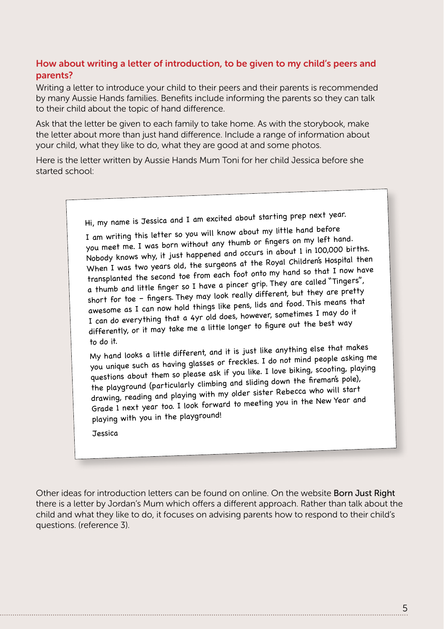# How about writing a letter of introduction, to be given to my child's peers and parents?

Writing a letter to introduce your child to their peers and their parents is recommended by many Aussie Hands families. Benefits include informing the parents so they can talk to their child about the topic of hand difference.

Ask that the letter be given to each family to take home. As with the storybook, make the letter about more than just hand difference. Include a range of information about your child, what they like to do, what they are good at and some photos.

Here is the letter written by Aussie Hands Mum Toni for her child Jessica before she started school:

Hi, my name is Jessica and I am excited about starting prep next year.

I am writing this letter so you will know about my little hand before you meet me. I was born without any thumb or fingers on my left hand. Nobody knows why, it just happened and occurs in about 1 in 100,000 births. When I was two years old, the surgeons at the Royal Children's Hospital then transplanted the second toe from each foot onto my hand so that I now have a thumb and little finger so I have a pincer grip. They are called "Tingers", short for toe – fingers. They may look really different, but they are pretty awesome as I can now hold things like pens, lids and food. This means that I can do everything that a 4yr old does, however, sometimes I may do it differently, or it may take me a little longer to figure out the best way to do it.

My hand looks a little different, and it is just like anything else that makes you unique such as having glasses or freckles. I do not mind people asking me questions about them so please ask if you like. I love biking, scooting, playing the playground (particularly climbing and sliding down the fireman's pole), drawing, reading and playing with my older sister Rebecca who will start Grade 1 next year too. I look forward to meeting you in the New Year an<sup>d</sup> playing with you in the playground!

**Tessica** 

Other ideas for introduction letters can be found on online. On the website Born Just Right there is a letter by Jordan's Mum which offers a different approach. Rather than talk about the child and what they like to do, it focuses on advising parents how to respond to their child's questions. (reference 3).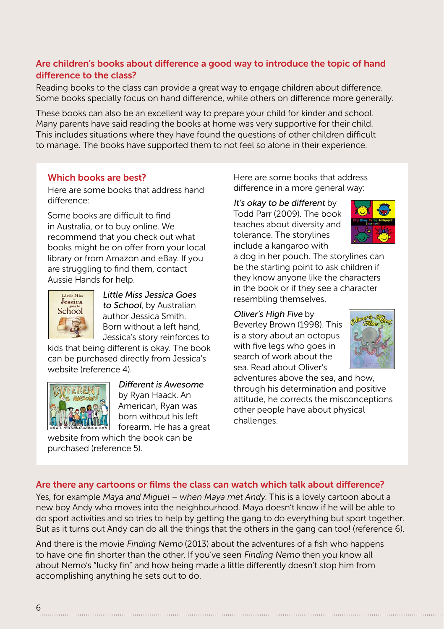# Are children's books about difference a good way to introduce the topic of hand difference to the class?

Reading books to the class can provide a great way to engage children about difference. Some books specially focus on hand difference, while others on difference more generally.

These books can also be an excellent way to prepare your child for kinder and school. Many parents have said reading the books at home was very supportive for their child. This includes situations where they have found the questions of other children difficult to manage. The books have supported them to not feel so alone in their experience.

# Which books are best?

Here are some books that address hand difference:

Some books are difficult to find in Australia, or to buy online. We recommend that you check out what books might be on offer from your local library or from Amazon and eBay. If you are struggling to find them, contact Aussie Hands for help.



Little Miss Jessica Goes to School, by Australian author Jessica Smith. Born without a left hand, Jessica's story reinforces to

kids that being different is okay. The book can be purchased directly from Jessica's website (reference 4).



Different is Awesome by Ryan Haack. An American, Ryan was born without his left forearm. He has a great

website from which the book can be purchased (reference 5).

Here are some books that address difference in a more general way:

It's okay to be different by Todd Parr (2009). The book teaches about diversity and tolerance. The storylines include a kangaroo with



a dog in her pouch. The storylines can be the starting point to ask children if they know anyone like the characters in the book or if they see a character resembling themselves.

#### Oliver's High Five by

Beverley Brown (1998). This is a story about an octopus with five legs who goes in search of work about the sea. Read about Oliver's



adventures above the sea, and how, through his determination and positive attitude, he corrects the misconceptions other people have about physical challenges.

#### Are there any cartoons or films the class can watch which talk about difference?

Yes, for example Maya and Miguel – when Maya met Andy. This is a lovely cartoon about a new boy Andy who moves into the neighbourhood. Maya doesn't know if he will be able to do sport activities and so tries to help by getting the gang to do everything but sport together. But as it turns out Andy can do all the things that the others in the gang can too! (reference 6).

And there is the movie Finding Nemo (2013) about the adventures of a fish who happens to have one fin shorter than the other. If you've seen Finding Nemo then you know all about Nemo's "lucky fin" and how being made a little differently doesn't stop him from accomplishing anything he sets out to do.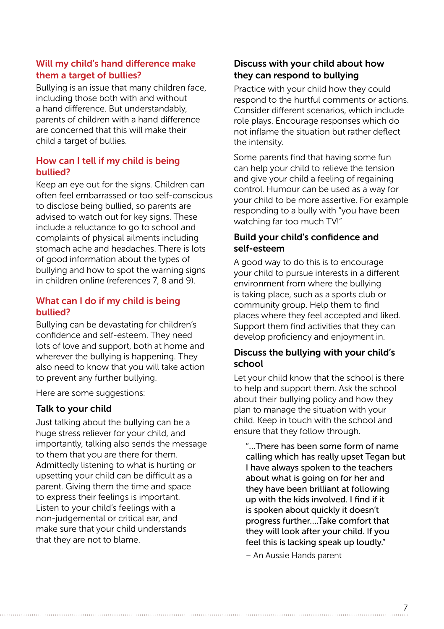# Will my child's hand difference make them a target of bullies?

Bullying is an issue that many children face, including those both with and without a hand difference. But understandably, parents of children with a hand difference are concerned that this will make their child a target of bullies.

# How can I tell if my child is being bullied?

Keep an eye out for the signs. Children can often feel embarrassed or too self-conscious to disclose being bullied, so parents are advised to watch out for key signs. These include a reluctance to go to school and complaints of physical ailments including stomach ache and headaches. There is lots of good information about the types of bullying and how to spot the warning signs in children online (references 7, 8 and 9).

# What can I do if my child is being bullied?

Bullying can be devastating for children's confidence and self-esteem. They need lots of love and support, both at home and wherever the bullying is happening. They also need to know that you will take action to prevent any further bullying.

Here are some suggestions:

# Talk to your child

Just talking about the bullying can be a huge stress reliever for your child, and importantly, talking also sends the message to them that you are there for them. Admittedly listening to what is hurting or upsetting your child can be difficult as a parent. Giving them the time and space to express their feelings is important. Listen to your child's feelings with a non-judgemental or critical ear, and make sure that your child understands that they are not to blame.

# Discuss with your child about how they can respond to bullying

Practice with your child how they could respond to the hurtful comments or actions. Consider different scenarios, which include role plays. Encourage responses which do not inflame the situation but rather deflect the intensity.

Some parents find that having some fun can help your child to relieve the tension and give your child a feeling of regaining control. Humour can be used as a way for your child to be more assertive. For example responding to a bully with "you have been watching far too much TV!"

# Build your child's confidence and self-esteem

A good way to do this is to encourage your child to pursue interests in a different environment from where the bullying is taking place, such as a sports club or community group. Help them to find places where they feel accepted and liked. Support them find activities that they can develop proficiency and enjoyment in.

# Discuss the bullying with your child's school

Let your child know that the school is there to help and support them. Ask the school about their bullying policy and how they plan to manage the situation with your child. Keep in touch with the school and ensure that they follow through.

"…There has been some form of name calling which has really upset Tegan but I have always spoken to the teachers about what is going on for her and they have been brilliant at following up with the kids involved. I find if it is spoken about quickly it doesn't progress further….Take comfort that they will look after your child. If you feel this is lacking speak up loudly."

– An Aussie Hands parent